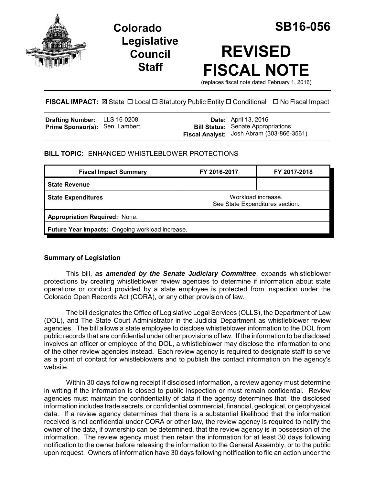

**Colorado SB16-056 Legislative Council Staff**

# **REVISED FISCAL NOTE**

(replaces fiscal note dated February 1, 2016)

# **FISCAL IMPACT:** ⊠ State □ Local □ Statutory Public Entity □ Conditional □ No Fiscal Impact

| <b>Drafting Number:</b>        | LLS 16-0208 |
|--------------------------------|-------------|
| Prime Sponsor(s): Sen. Lambert |             |

**Date:** April 13, 2016 **Bill Status:** Senate Appropriations **Fiscal Analyst:** Josh Abram (303-866-3561)

## **BILL TOPIC:** ENHANCED WHISTLEBLOWER PROTECTIONS

| <b>Fiscal Impact Summary</b>                           | FY 2016-2017                                          | FY 2017-2018 |  |
|--------------------------------------------------------|-------------------------------------------------------|--------------|--|
| <b>State Revenue</b>                                   |                                                       |              |  |
| <b>State Expenditures</b>                              | Workload increase.<br>See State Expenditures section. |              |  |
| <b>Appropriation Required: None.</b>                   |                                                       |              |  |
| <b>Future Year Impacts: Ongoing workload increase.</b> |                                                       |              |  |

## **Summary of Legislation**

This bill, *as amended by the Senate Judiciary Committee*, expands whistleblower protections by creating whistleblower review agencies to determine if information about state operations or conduct provided by a state employee is protected from inspection under the Colorado Open Records Act (CORA), or any other provision of law.

The bill designates the Office of Legislative Legal Services (OLLS), the Department of Law (DOL), and The State Court Administrator in the Judicial Department as whistleblower review agencies. The bill allows a state employee to disclose whistleblower information to the DOL from public records that are confidential under other provisions of law. If the information to be disclosed involves an officer or employee of the DOL, a whistleblower may disclose the information to one of the other review agencies instead. Each review agency is required to designate staff to serve as a point of contact for whistleblowers and to publish the contact information on the agency's website.

Within 30 days following receipt if disclosed information, a review agency must determine in writing if the information is closed to public inspection or must remain confidential. Review agencies must maintain the confidentiality of data if the agency determines that the disclosed information includes trade secrets, or confidential commercial, financial, geological, or geophysical data. If a review agency determines that there is a substantial likelihood that the information received is not confidential under CORA or other law, the review agency is required to notify the owner of the data, if ownership can be determined, that the review agency is in possession of the information. The review agency must then retain the information for at least 30 days following notification to the owner before releasing the information to the General Assembly, or to the public upon request. Owners of information have 30 days following notification to file an action under the